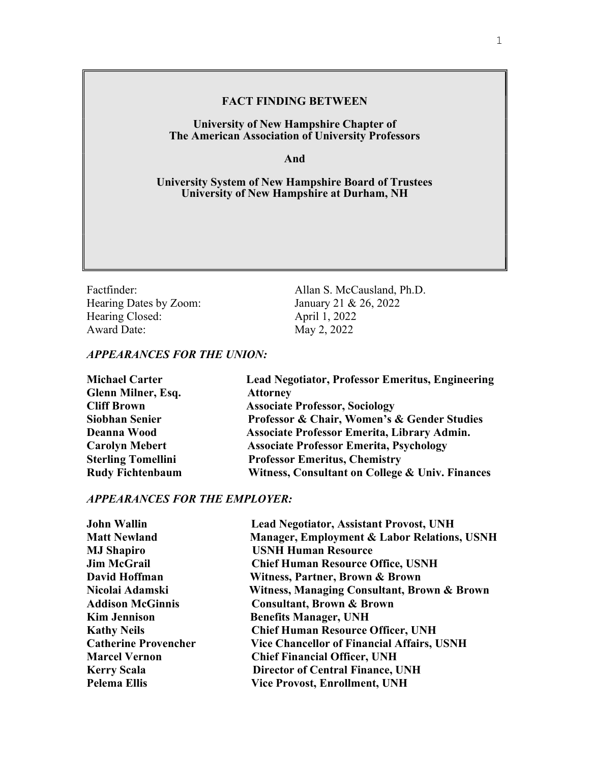## FACT FINDING BETWEEN

### University of New Hampshire Chapter of The American Association of University Professors

And

University System of New Hampshire Board of Trustees University of New Hampshire at Durham, NH

Hearing Dates by Zoom: Hearing Closed: April 1, 2022<br>Award Date: May 2, 2022

Factfinder: Allan S. McCausland, Ph.D.<br>Hearing Dates by Zoom: January 21 & 26, 2022 May 2, 2022

# APPEARANCES FOR THE UNION:

| <b>Michael Carter</b>     | <b>Lead Negotiator, Professor Emeritus, Engineering</b>    |
|---------------------------|------------------------------------------------------------|
| Glenn Milner, Esq.        | <b>Attorney</b>                                            |
| <b>Cliff Brown</b>        | <b>Associate Professor, Sociology</b>                      |
| <b>Siobhan Senier</b>     | <b>Professor &amp; Chair, Women's &amp; Gender Studies</b> |
| Deanna Wood               | Associate Professor Emerita, Library Admin.                |
| <b>Carolyn Mebert</b>     | <b>Associate Professor Emerita, Psychology</b>             |
| <b>Sterling Tomellini</b> | <b>Professor Emeritus, Chemistry</b>                       |
| <b>Rudy Fichtenbaum</b>   | Witness, Consultant on College & Univ. Finances            |

## APPEARANCES FOR THE EMPLOYER:

| <b>John Wallin</b>          | <b>Lead Negotiator, Assistant Provost, UNH</b>         |
|-----------------------------|--------------------------------------------------------|
| <b>Matt Newland</b>         | <b>Manager, Employment &amp; Labor Relations, USNH</b> |
| <b>MJ Shapiro</b>           | <b>USNH Human Resource</b>                             |
| <b>Jim McGrail</b>          | <b>Chief Human Resource Office, USNH</b>               |
| David Hoffman               | Witness, Partner, Brown & Brown                        |
| Nicolai Adamski             | Witness, Managing Consultant, Brown & Brown            |
| <b>Addison McGinnis</b>     | <b>Consultant, Brown &amp; Brown</b>                   |
| <b>Kim Jennison</b>         | <b>Benefits Manager, UNH</b>                           |
| <b>Kathy Neils</b>          | <b>Chief Human Resource Officer, UNH</b>               |
| <b>Catherine Provencher</b> | <b>Vice Chancellor of Financial Affairs, USNH</b>      |
| <b>Marcel Vernon</b>        | <b>Chief Financial Officer, UNH</b>                    |
| <b>Kerry Scala</b>          | <b>Director of Central Finance, UNH</b>                |
| Pelema Ellis                | <b>Vice Provost, Enrollment, UNH</b>                   |
|                             |                                                        |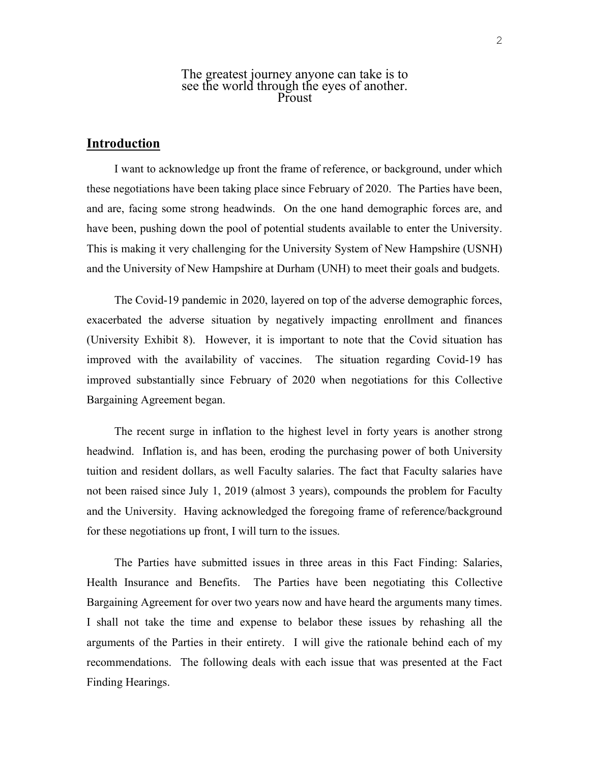## The greatest journey anyone can take is to see the world through the eyes of another. Proust

## Introduction

I want to acknowledge up front the frame of reference, or background, under which these negotiations have been taking place since February of 2020. The Parties have been, and are, facing some strong headwinds. On the one hand demographic forces are, and have been, pushing down the pool of potential students available to enter the University. This is making it very challenging for the University System of New Hampshire (USNH) and the University of New Hampshire at Durham (UNH) to meet their goals and budgets.

 The Covid-19 pandemic in 2020, layered on top of the adverse demographic forces, exacerbated the adverse situation by negatively impacting enrollment and finances (University Exhibit 8). However, it is important to note that the Covid situation has improved with the availability of vaccines. The situation regarding Covid-19 has improved substantially since February of 2020 when negotiations for this Collective Bargaining Agreement began.

 The recent surge in inflation to the highest level in forty years is another strong headwind. Inflation is, and has been, eroding the purchasing power of both University tuition and resident dollars, as well Faculty salaries. The fact that Faculty salaries have not been raised since July 1, 2019 (almost 3 years), compounds the problem for Faculty and the University. Having acknowledged the foregoing frame of reference/background for these negotiations up front, I will turn to the issues.

 The Parties have submitted issues in three areas in this Fact Finding: Salaries, Health Insurance and Benefits. The Parties have been negotiating this Collective Bargaining Agreement for over two years now and have heard the arguments many times. I shall not take the time and expense to belabor these issues by rehashing all the arguments of the Parties in their entirety. I will give the rationale behind each of my recommendations. The following deals with each issue that was presented at the Fact Finding Hearings.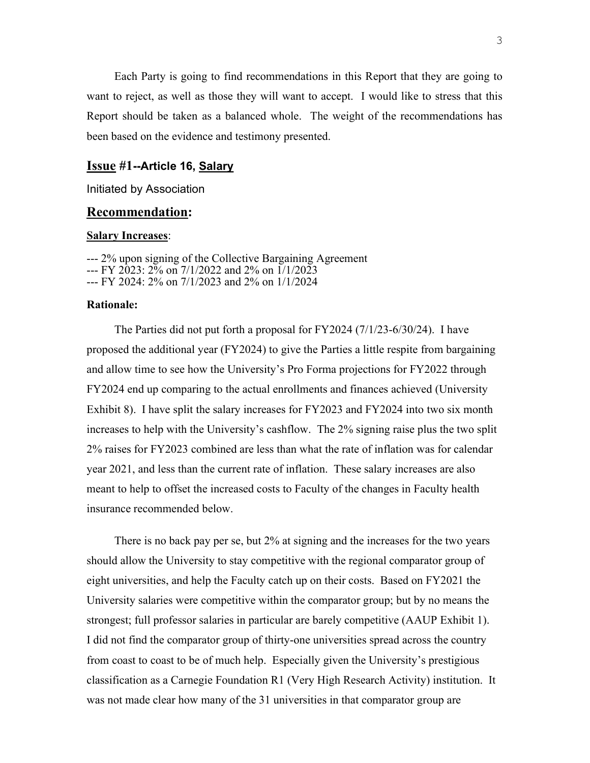Each Party is going to find recommendations in this Report that they are going to want to reject, as well as those they will want to accept. I would like to stress that this Report should be taken as a balanced whole. The weight of the recommendations has been based on the evidence and testimony presented.

## Issue #1--Article 16, Salary

Initiated by Association

## Recommendation:

### Salary Increases:

--- 2% upon signing of the Collective Bargaining Agreement

--- FY 2023: 2% on 7/1/2022 and 2% on 1/1/2023

--- FY 2024: 2% on 7/1/2023 and 2% on 1/1/2024

### Rationale:

 The Parties did not put forth a proposal for FY2024 (7/1/23-6/30/24). I have proposed the additional year (FY2024) to give the Parties a little respite from bargaining and allow time to see how the University's Pro Forma projections for FY2022 through FY2024 end up comparing to the actual enrollments and finances achieved (University Exhibit 8). I have split the salary increases for FY2023 and FY2024 into two six month increases to help with the University's cashflow. The 2% signing raise plus the two split 2% raises for FY2023 combined are less than what the rate of inflation was for calendar year 2021, and less than the current rate of inflation. These salary increases are also meant to help to offset the increased costs to Faculty of the changes in Faculty health insurance recommended below.

 There is no back pay per se, but 2% at signing and the increases for the two years should allow the University to stay competitive with the regional comparator group of eight universities, and help the Faculty catch up on their costs. Based on FY2021 the University salaries were competitive within the comparator group; but by no means the strongest; full professor salaries in particular are barely competitive (AAUP Exhibit 1). I did not find the comparator group of thirty-one universities spread across the country from coast to coast to be of much help. Especially given the University's prestigious classification as a Carnegie Foundation R1 (Very High Research Activity) institution. It was not made clear how many of the 31 universities in that comparator group are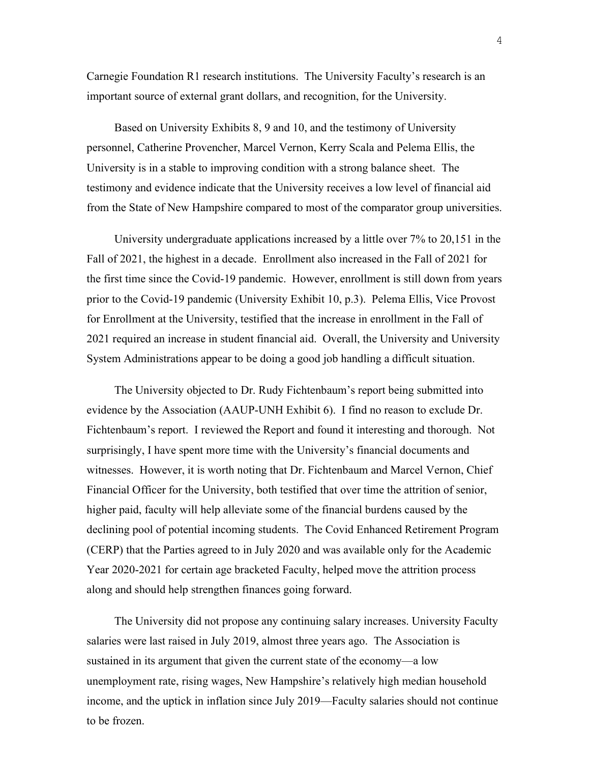Carnegie Foundation R1 research institutions. The University Faculty's research is an important source of external grant dollars, and recognition, for the University.

 Based on University Exhibits 8, 9 and 10, and the testimony of University personnel, Catherine Provencher, Marcel Vernon, Kerry Scala and Pelema Ellis, the University is in a stable to improving condition with a strong balance sheet. The testimony and evidence indicate that the University receives a low level of financial aid from the State of New Hampshire compared to most of the comparator group universities.

 University undergraduate applications increased by a little over 7% to 20,151 in the Fall of 2021, the highest in a decade. Enrollment also increased in the Fall of 2021 for the first time since the Covid-19 pandemic. However, enrollment is still down from years prior to the Covid-19 pandemic (University Exhibit 10, p.3). Pelema Ellis, Vice Provost for Enrollment at the University, testified that the increase in enrollment in the Fall of 2021 required an increase in student financial aid. Overall, the University and University System Administrations appear to be doing a good job handling a difficult situation.

 The University objected to Dr. Rudy Fichtenbaum's report being submitted into evidence by the Association (AAUP-UNH Exhibit 6). I find no reason to exclude Dr. Fichtenbaum's report. I reviewed the Report and found it interesting and thorough. Not surprisingly, I have spent more time with the University's financial documents and witnesses. However, it is worth noting that Dr. Fichtenbaum and Marcel Vernon, Chief Financial Officer for the University, both testified that over time the attrition of senior, higher paid, faculty will help alleviate some of the financial burdens caused by the declining pool of potential incoming students. The Covid Enhanced Retirement Program (CERP) that the Parties agreed to in July 2020 and was available only for the Academic Year 2020-2021 for certain age bracketed Faculty, helped move the attrition process along and should help strengthen finances going forward.

 The University did not propose any continuing salary increases. University Faculty salaries were last raised in July 2019, almost three years ago. The Association is sustained in its argument that given the current state of the economy—a low unemployment rate, rising wages, New Hampshire's relatively high median household income, and the uptick in inflation since July 2019—Faculty salaries should not continue to be frozen.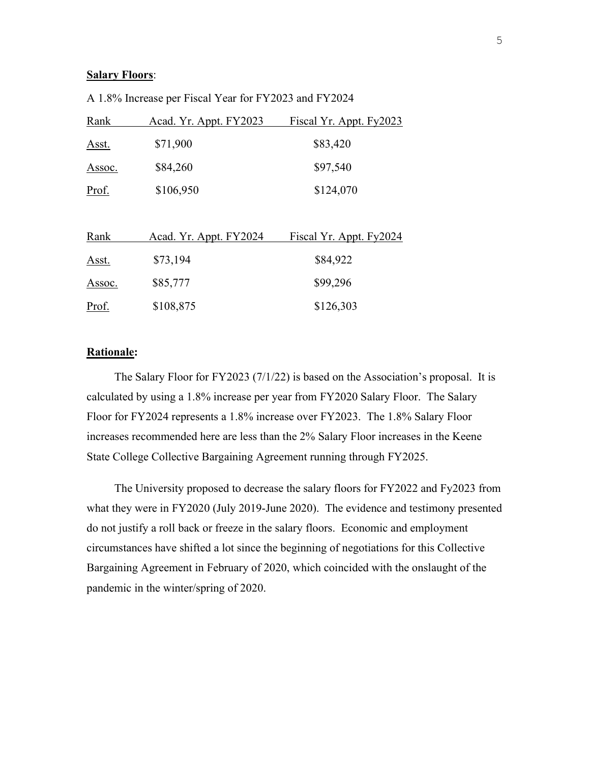### **Salary Floors:**

A 1.8% Increase per Fiscal Year for FY2023 and FY2024

| Rank         | Acad. Yr. Appt. FY2023 | Fiscal Yr. Appt. Fy2023 |
|--------------|------------------------|-------------------------|
| <u>Asst.</u> | \$71,900               | \$83,420                |
| Assoc.       | \$84,260               | \$97,540                |
| Prof.        | \$106,950              | \$124,070               |
|              |                        |                         |

| Rank         | Acad. Yr. Appt. FY2024 | Fiscal Yr. Appt. Fy2024 |
|--------------|------------------------|-------------------------|
| <u>Asst.</u> | \$73,194               | \$84,922                |
| Assoc.       | \$85,777               | \$99,296                |
| Prof.        | \$108,875              | \$126,303               |

## Rationale:

 The Salary Floor for FY2023 (7/1/22) is based on the Association's proposal. It is calculated by using a 1.8% increase per year from FY2020 Salary Floor. The Salary Floor for FY2024 represents a 1.8% increase over FY2023. The 1.8% Salary Floor increases recommended here are less than the 2% Salary Floor increases in the Keene State College Collective Bargaining Agreement running through FY2025.

 The University proposed to decrease the salary floors for FY2022 and Fy2023 from what they were in FY2020 (July 2019-June 2020). The evidence and testimony presented do not justify a roll back or freeze in the salary floors. Economic and employment circumstances have shifted a lot since the beginning of negotiations for this Collective Bargaining Agreement in February of 2020, which coincided with the onslaught of the pandemic in the winter/spring of 2020.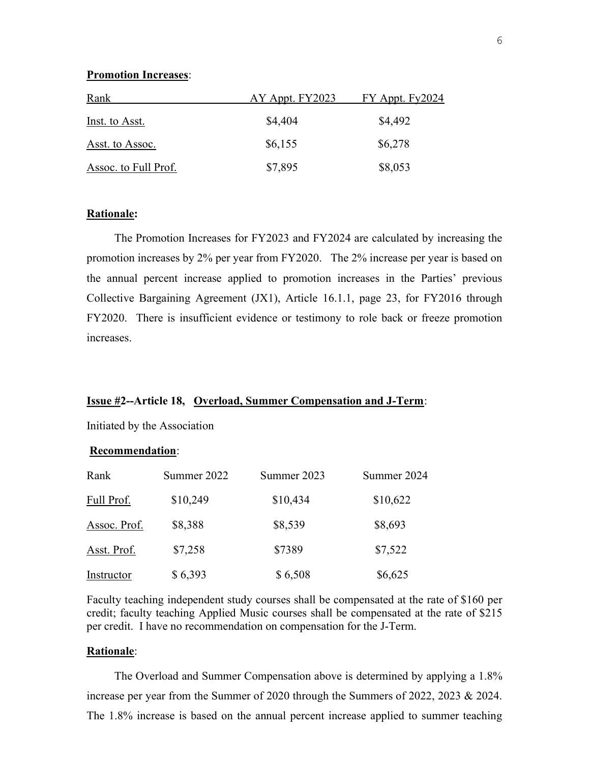### Promotion Increases:

| Rank                 | AY Appt. FY2023 | $FY$ Appt. $Fy2024$ |  |
|----------------------|-----------------|---------------------|--|
| Inst. to Asst.       | \$4,404         | \$4,492             |  |
| Asst. to Assoc.      | \$6,155         | \$6,278             |  |
| Assoc. to Full Prof. | \$7,895         | \$8,053             |  |

## Rationale:

 The Promotion Increases for FY2023 and FY2024 are calculated by increasing the promotion increases by 2% per year from FY2020. The 2% increase per year is based on the annual percent increase applied to promotion increases in the Parties' previous Collective Bargaining Agreement (JX1), Article 16.1.1, page 23, for FY2016 through FY2020. There is insufficient evidence or testimony to role back or freeze promotion increases.

### Issue #2--Article 18, Overload, Summer Compensation and J-Term:

Initiated by the Association

### Recommendation:

| Rank         | Summer 2022 | Summer 2023 | Summer 2024 |
|--------------|-------------|-------------|-------------|
| Full Prof.   | \$10,249    | \$10,434    | \$10,622    |
| Assoc. Prof. | \$8,388     | \$8,539     | \$8,693     |
| Asst. Prof.  | \$7,258     | \$7389      | \$7,522     |
| Instructor   | \$6,393     | \$6,508     | \$6,625     |

Faculty teaching independent study courses shall be compensated at the rate of \$160 per credit; faculty teaching Applied Music courses shall be compensated at the rate of \$215 per credit. I have no recommendation on compensation for the J-Term.

### Rationale:

 The Overload and Summer Compensation above is determined by applying a 1.8% increase per year from the Summer of 2020 through the Summers of 2022, 2023 & 2024. The 1.8% increase is based on the annual percent increase applied to summer teaching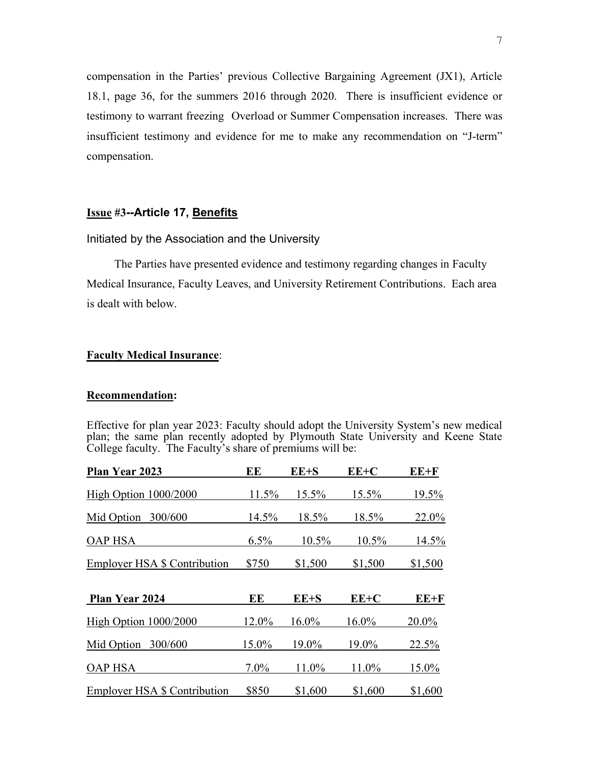compensation in the Parties' previous Collective Bargaining Agreement (JX1), Article 18.1, page 36, for the summers 2016 through 2020. There is insufficient evidence or testimony to warrant freezing Overload or Summer Compensation increases. There was insufficient testimony and evidence for me to make any recommendation on "J-term" compensation.

# Issue #3--Article 17, Benefits

## Initiated by the Association and the University

The Parties have presented evidence and testimony regarding changes in Faculty Medical Insurance, Faculty Leaves, and University Retirement Contributions. Each area is dealt with below.

## Faculty Medical Insurance:

### Recommendation:

Effective for plan year 2023: Faculty should adopt the University System's new medical plan; the same plan recently adopted by Plymouth State University and Keene State College faculty. The Faculty's share of premiums will be:

| <b>Plan Year 2023</b>        | EE      | $EE + S$ | $EE+C$  | $EE+F$  |
|------------------------------|---------|----------|---------|---------|
| High Option 1000/2000        | 11.5%   | 15.5%    | 15.5%   | 19.5%   |
| Mid Option<br>300/600        | 14.5%   | 18.5%    | 18.5%   | 22.0%   |
| <b>OAP HSA</b>               | 6.5%    | 10.5%    | 10.5%   | 14.5%   |
| Employer HSA \$ Contribution | \$750   | \$1,500  | \$1,500 | \$1,500 |
| <b>Plan Year 2024</b>        | EE      | $EE + S$ | $EE+C$  | EE+F    |
| High Option 1000/2000        | 12.0%   | 16.0%    | 16.0%   | 20.0%   |
| Mid Option<br>300/600        | 15.0%   | 19.0%    | 19.0%   | 22.5%   |
| <b>OAP HSA</b>               | $7.0\%$ | 11.0%    | 11.0%   | 15.0%   |
| Employer HSA \$ Contribution | \$850   | \$1,600  | \$1,600 | \$1,600 |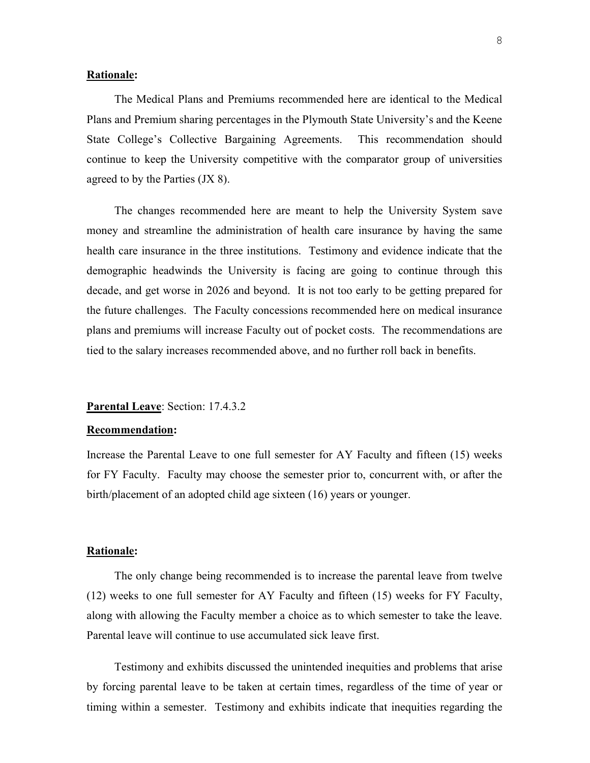### Rationale:

 The Medical Plans and Premiums recommended here are identical to the Medical Plans and Premium sharing percentages in the Plymouth State University's and the Keene State College's Collective Bargaining Agreements. This recommendation should continue to keep the University competitive with the comparator group of universities agreed to by the Parties (JX 8).

 The changes recommended here are meant to help the University System save money and streamline the administration of health care insurance by having the same health care insurance in the three institutions. Testimony and evidence indicate that the demographic headwinds the University is facing are going to continue through this decade, and get worse in 2026 and beyond. It is not too early to be getting prepared for the future challenges. The Faculty concessions recommended here on medical insurance plans and premiums will increase Faculty out of pocket costs. The recommendations are tied to the salary increases recommended above, and no further roll back in benefits.

#### Parental Leave: Section: 17.4.3.2

### Recommendation:

Increase the Parental Leave to one full semester for AY Faculty and fifteen (15) weeks for FY Faculty. Faculty may choose the semester prior to, concurrent with, or after the birth/placement of an adopted child age sixteen (16) years or younger.

## Rationale:

 The only change being recommended is to increase the parental leave from twelve (12) weeks to one full semester for AY Faculty and fifteen (15) weeks for FY Faculty, along with allowing the Faculty member a choice as to which semester to take the leave. Parental leave will continue to use accumulated sick leave first.

 Testimony and exhibits discussed the unintended inequities and problems that arise by forcing parental leave to be taken at certain times, regardless of the time of year or timing within a semester. Testimony and exhibits indicate that inequities regarding the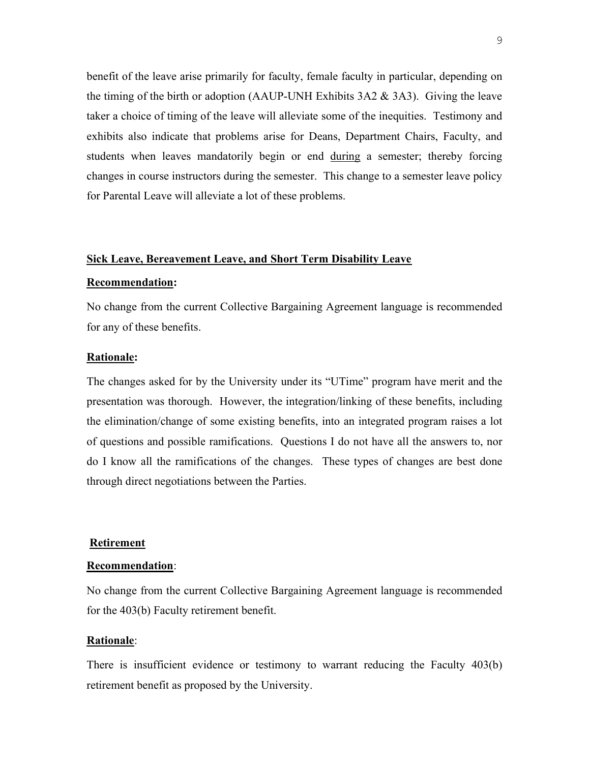benefit of the leave arise primarily for faculty, female faculty in particular, depending on the timing of the birth or adoption (AAUP-UNH Exhibits  $3A2 \& 3A3$ ). Giving the leave taker a choice of timing of the leave will alleviate some of the inequities. Testimony and exhibits also indicate that problems arise for Deans, Department Chairs, Faculty, and students when leaves mandatorily begin or end during a semester; thereby forcing changes in course instructors during the semester. This change to a semester leave policy for Parental Leave will alleviate a lot of these problems.

### Sick Leave, Bereavement Leave, and Short Term Disability Leave

#### Recommendation:

No change from the current Collective Bargaining Agreement language is recommended for any of these benefits.

### Rationale:

The changes asked for by the University under its "UTime" program have merit and the presentation was thorough. However, the integration/linking of these benefits, including the elimination/change of some existing benefits, into an integrated program raises a lot of questions and possible ramifications. Questions I do not have all the answers to, nor do I know all the ramifications of the changes. These types of changes are best done through direct negotiations between the Parties.

### Retirement

#### Recommendation:

No change from the current Collective Bargaining Agreement language is recommended for the 403(b) Faculty retirement benefit.

### Rationale:

There is insufficient evidence or testimony to warrant reducing the Faculty 403(b) retirement benefit as proposed by the University.